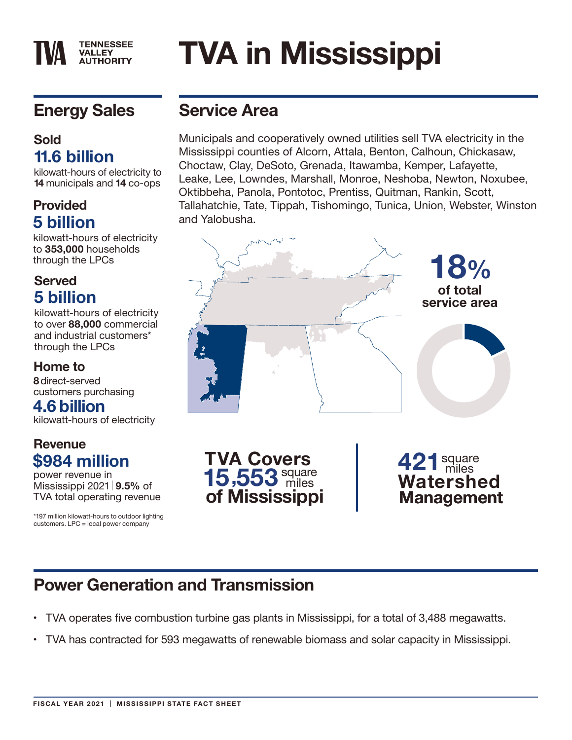# **Energy Sales**

**TENNESSEE VALLEY AUTHORITY** 

#### **Sold 11.6 billion**

kilowatt-hours of electricity to **14** municipals and **14** co-ops

#### **Provided 5 billion**

kilowatt-hours of electricity to **353,000** households through the LPCs

#### **Served 5 billion**

kilowatt-hours of electricity to over **88,000** commercial and industrial customers\* through the LPCs

#### **Home to**

**8** direct-served customers purchasing

#### **4.6 billion**

kilowatt-hours of electricity

### **Revenue \$984 million**

power revenue in Mississippi 2021 **9.5%** of TVA total operating revenue

\*197 million kilowatt-hours to outdoor lighting customers. LPC = local power company

## **Service Area**

Municipals and cooperatively owned utilities sell TVA electricity in the Mississippi counties of Alcorn, Attala, Benton, Calhoun, Chickasaw, Choctaw, Clay, DeSoto, Grenada, Itawamba, Kemper, Lafayette, Leake, Lee, Lowndes, Marshall, Monroe, Neshoba, Newton, Noxubee, Oktibbeha, Panola, Pontotoc, Prentiss, Quitman, Rankin, Scott, Tallahatchie, Tate, Tippah, Tishomingo, Tunica, Union, Webster, Winston and Yalobusha.

**TVA in Mississippi**



# **Power Generation and Transmission**

- TVA operates five combustion turbine gas plants in Mississippi, for a total of 3,488 megawatts.
- TVA has contracted for 593 megawatts of renewable biomass and solar capacity in Mississippi.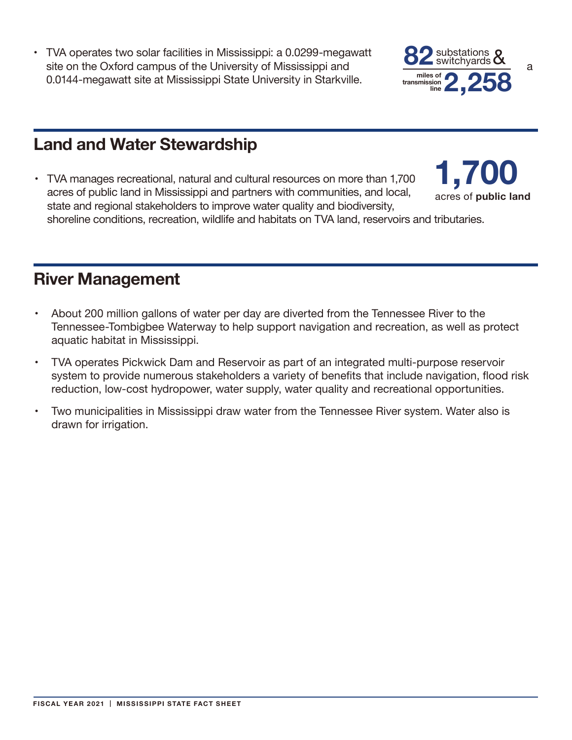• TVA operates two solar facilities in Mississippi: a 0.0299-megawatt site on the Oxford campus of the University of Mississippi and **Algebra** Syntemy and a 0.0144-megawatt site at Mississippi State University in Starkville.



### **Land and Water Stewardship**

• TVA manages recreational, natural and cultural resources on more than 1,700 acres of public land in Mississippi and partners with communities, and local, state and regional stakeholders to improve water quality and biodiversity, shoreline conditions, recreation, wildlife and habitats on TVA land, reservoirs and tributaries. **1,700** acres of **public land**

### **River Management**

- About 200 million gallons of water per day are diverted from the Tennessee River to the Tennessee-Tombigbee Waterway to help support navigation and recreation, as well as protect aquatic habitat in Mississippi.
- TVA operates Pickwick Dam and Reservoir as part of an integrated multi-purpose reservoir system to provide numerous stakeholders a variety of benefits that include navigation, flood risk reduction, low-cost hydropower, water supply, water quality and recreational opportunities.
- Two municipalities in Mississippi draw water from the Tennessee River system. Water also is drawn for irrigation.